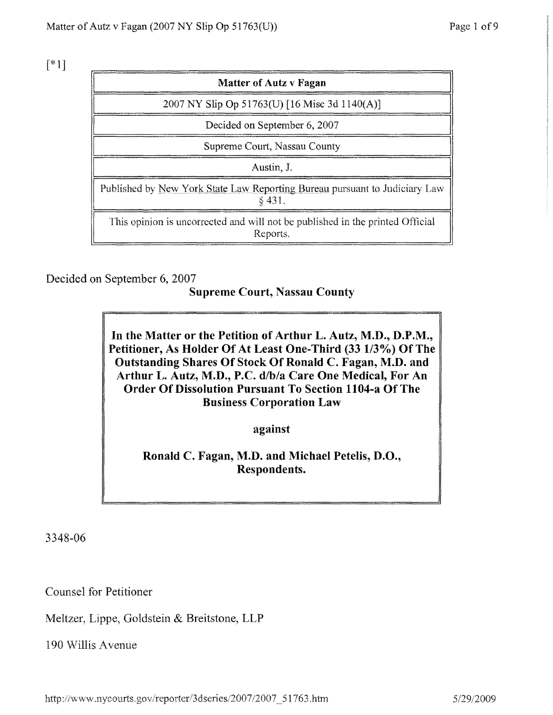$[$ \*1]

| <b>Matter of Autz v Fagan</b>                                                             |
|-------------------------------------------------------------------------------------------|
| 2007 NY Slip Op 51763(U) [16 Misc 3d 1140(A)]                                             |
| Decided on September 6, 2007                                                              |
| Supreme Court, Nassau County                                                              |
| Austin, J.                                                                                |
| Published by New York State Law Reporting Bureau pursuant to Judiciary Law<br>\$ 431.     |
| This opinion is uncorrected and will not be published in the printed Official<br>Reports. |

Decided on September 6, 2007

#### **Supreme Court, Nassau County**

In the Matter or the Petition of Arthur L. Autz, M.D., D.P.M., Petitioner, As Holder Of At Least One-Third (33 1/3%) Of The Outstanding Shares Of Stock Of Ronald C. Fagan, M.D. and Arthur L. Autz, M.D., P.C. d/6/a Care One Medical, For An Order Of Dissolution Pursuant To Section 1104-a Of The **Business** Corporation Lave

**against**

Ronald C. Fagan, M.D. and Michael Petelis, D.O., **Respondents.**

3348-06

Counsel for Petitioner

Meltzer, Lippe, Goldstein & Breitstone, LLP

190 Willis Avenue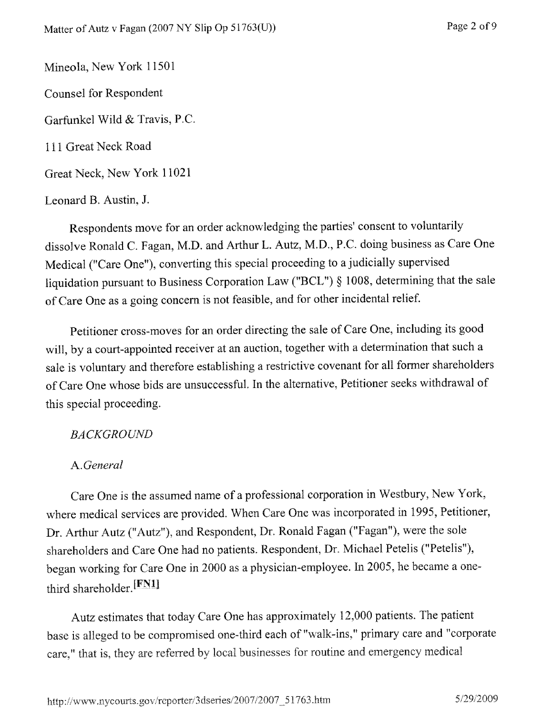Mineola, New York 11501 Counsel for Respondent Garfunkel Wild & Travis, P.C. 111 Great Neck Road Great Neck, New York 11021

Leonard B. Austin, J.

Respondents move for an order acknowledging the parties' consent to voluntarily dissolve Ronald C. Fagan, M.D. and Arthur L. Autz, M.D., P.C. doing business as Care One Medical ("Care One"), converting this special proceeding to a judicially supervised liquidation pursuant to Business Corporation Law ("BCL") § 1008, determining that the sale of Care One as a going concern is not feasible, and for other incidental relief

Petitioner cross-moves for an order directing the sale of Care One, including its good will, by a court-appointed receiver at an auction, together with a determination that such a sale is voluntary and therefore establishing a restrictive covenant for all former shareholders of Care One whose bids are unsuccessful, In the alternative, Petitioner seeks withdrawal of this special proceeding.

#### *BACKGROUND*

### *A. General*

Care One is the assumed name of a professional corporation in Westbury, New York, where medical services are provided. When Care One was incorporated in 1995, Petitioner, Dr. Arthur Autz ("Autz"), and Respondent, Dr. Ronald Fagan ("Fagan"), were the sole shareholders and Care One had no patients. Respondent, Dr. Michael Petelis ("Petelis"), began working for Care One in 2000 as a physician-employee. In 2005, he became a onethird shareholder.  $[**FN1**]$ 

Autz estimates that today Care One has approximately 12,000 patients. The patient base is alleged to be compromised one-third each of "walk-ins," primary care and "corporate care," that is, they are referred by local businesses for routine and emergency medical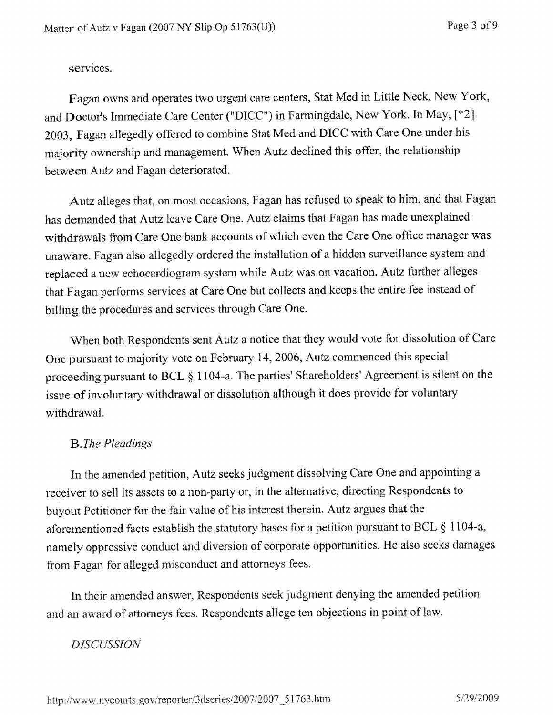services.

Fagan owns and operates two urgent care centers, Stat Med in Little Neck, New York. and. Doctor's Immediate Care Center ("DICC") in Farmingdale, New York. In May, [\*2] 2003, Fagan allegedly offered to combine Stat Med and DICC with Care One under his majority ownership and management. When Autz declined this offer, the relationship between Autz and Fagan deteriorated.

Autz alleges that, on most occasions, Fagan has refused to speak to him, and that Fagan has demanded that Autz leave Care One. Autz claims that Fagan has made unexplained withdrawals from Care One bank accounts of which even the Care One office manager was unaware. Fagan also allegedly ordered the installation of a hidden surveillance system and replaced a new echocardiogram system while Autz was on vacation. Autz further alleges that Fagan performs services at Care One but collects and keeps the entire fee instead of billing the procedures and services through Care One.

When both Respondents sent Autz a notice that they would vote for dissolution of Care One pursuant to majority vote on *February* 14, 2006, Autz commenced this special proceeding pursuant to BCL § 1104-a. The parties' Shareholders' Agreement is silent on the issue of involuntary withdrawal or dissolution although it does provide for voluntary withdrawal.

# *B. The Pleadings*

In the amended petition, Autz seeks judgment dissolving Care One and appointing a receiver to sell its assets to a non-party or, in the alternative, directing Respondents to buyout Petitioner for the fair value of his interest therein, Autz argues that the aforementioned facts establish the statutory bases for a petition pursuant to BCL § 1104-a, namely oppressive conduct and diversion of corporate opportunities. He also seeks damages from Fagan for alleged misconduct and attorneys fees.

In their amended answer, Respondents seek judgment denying the amended petition and an award of attorneys fees. Respondents allege ten objections in point of law.

# *DISCUSSION'*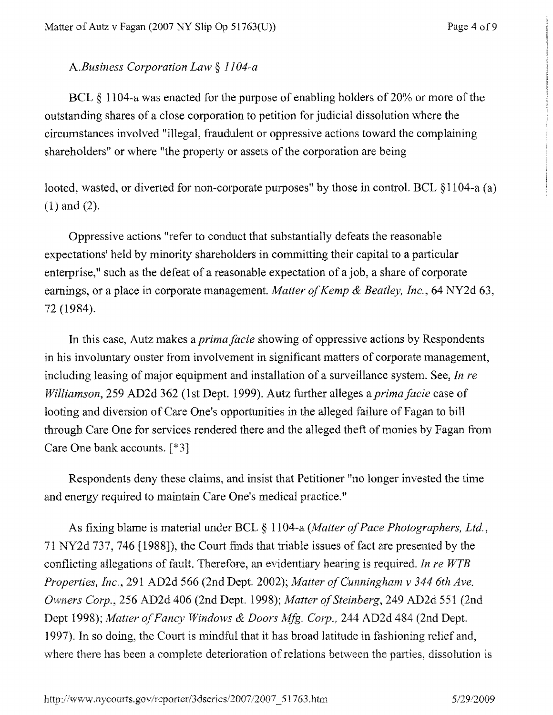### *A.Business Corporation Law § 1104-a*

BCL § 1104-a was enacted for the purpose of enabling holders of 20% or more of the outstanding shares of a close corporation to petition for judicial dissolution where the circumstances involved "illegal, fraudulent or oppressive actions toward the complaining shareholders" or where "the property or assets of the corporation are being

looted, wasted, or diverted for non-corporate purposes" by those in control. BCL §1104-a (a) (1) and (2).

**Oppressive actions "refer to conduct that substantially defeats the reasonable expectations**' **held by minority shareholders in committing their capital to a particular enterprise**," **such as the defeat of a reasonable expectation of a job** , **a share of corporate earnings**, **or a place in corporate management**. *Matter of Kemp & Beatley, Inc.,* **64** NY2d 63, **72 (1984).**

In this case, Autz makes *a prima facie* showing of oppressive actions by Respondents in his involuntary duster from involvement in significant matters of corporate management, including leasing of major equipment and installation of a surveillance system. See, *In re Williamson,* 259 AD2d 362 (1st Dept. 1999). Autz further alleges a *prima facie* case of looting and diversion of Care One's opportunities in the alleged failure of Fagan to bill through Care One for services rendered there and the alleged theft of monies by Fagan from Care One bank accounts.  $[*3]$ 

Respondents deny these claims, and insist that Petitioner "no longer invested the time and energy required to maintain Care One's medical practice."

As fixing blame is material under BCL § 1104-a *(Matter of Pace Photographers, Ltd.*, 71 NY2d 737, **746 1988]**), **the Court finds that triable issues of fact are presented by the conflicting allegations of fault. Therefore** , **an evidentiary hearing is required** . *In re WTB Properties, Inc.,* **291** AD2d *566* **(2nd Dept**. **2002**); *matter of Cunningham v 344 6th Ave. Owners Corp.,* **256 AD2d 406 (2nd Dept. 199**8); *Matter ofSteinberg,* **249 AD2d 551 (2nd Dept 1998**); *Matter of Fancy Windows & Doors Mfg. Corp.,* **244 AD2d 484 (2nd Dept.** *1997).* **In so doing**, **the Court is mindful that it has broad latitude in fashioning relief and, where there has been a complete deterioration of relations between the parties**, **dissolution is**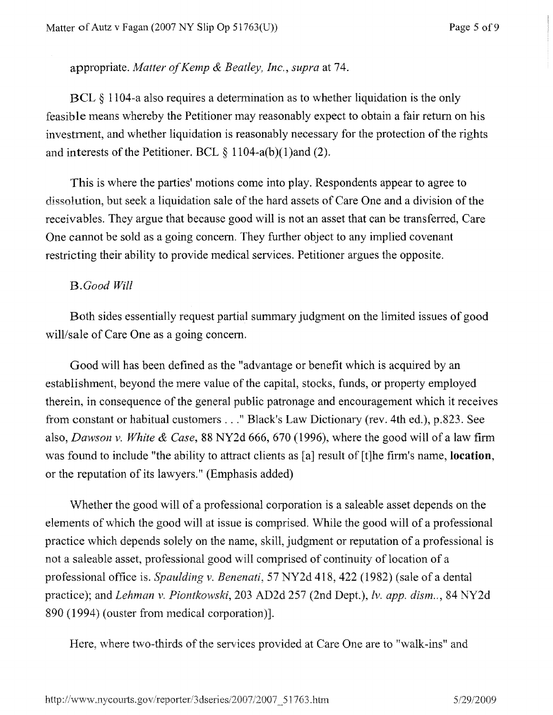### **appropriate**. *Matter of Kemp & Beatley, Inc., supra* **at 74.**

BCL § 1104-a also requires a determination as to whether liquidation is the only feasible means whereby the Petitioner may reasonably expect to obtain a fair return on his investment, and whether liquidation is reasonably necessary for the protection of the rights and interests of the Petitioner. BCL  $\S 1104-a(b)(1)$  and (2).

This is where the parties' motions come into play. Respondents appear to agree to dissolution, but seek a liquidation sale of the hard assets of Care One and a division of the receivables. They argue that because good will is not an asset that can be transferred, Care One cannot be sold as a going concern. They further object to any implied covenant restricting their ability to provide medical services. Petitioner argues the opposite.

### *B.Good Will*

Both sides essentially request partial summary judgment on the limited issues of good will/sale of Care One as a going concern.

Good will has been defined as the "advantage or benefit which is acquired by an establishment, beyond the mere value of the capital, stocks, funds, or property employed therein, in consequence of the general public patronage and encouragement which it receives from constant or habitual customers ..." Black's Law Dictionary (rev. 4th ed.), p.823. See also, *Dawson v. White & Case,* 88 NY2d *666,* 670 (1996), where the good will of *a* law firm was found to include "the ability to attract clients as [a] result of [t]he firm's name, **location,** or the reputation of its lawyers." (Emphasis added)

Whether the good will of a professional corporation is a saleable asset depends on the elements of which the good will at issue is comprised. While the good will of a professional practice which depends solely on the name, skill, judgment or reputation of a professional is not a saleable asset, professional good will comprised of continuity of location of a professional office is. *S'pauldina v. Benenati,* 57 NY2d 418, 422 (1982) (sale of a dental practice); and *Lehman v. Piontkowski*, 203 AD2d 257 (2nd Dept.), *Iv. app. dism..*, 84 NY2d 890 (1994) (ouster from medical corporation)].

Here, where two-thirds of the services provided at Care One are to "walk-ins" and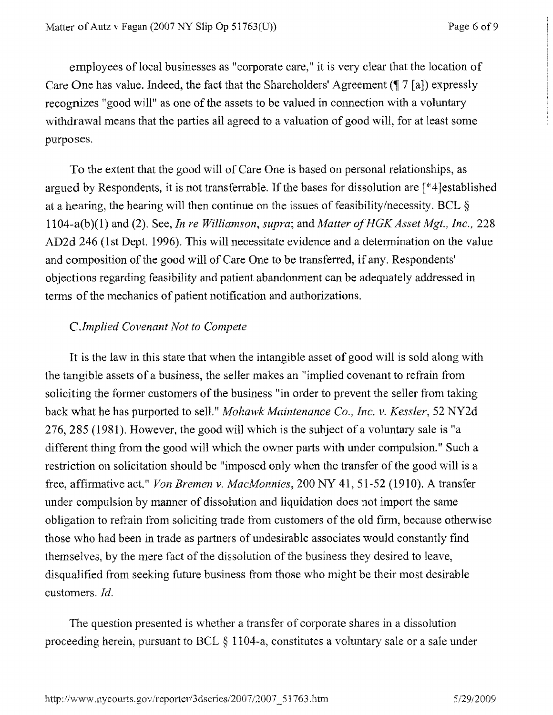employees of local businesses as "corporate care," it is very clear that the location of Care One has value. Indeed, the fact that the Shareholders' Agreement  $(\sqrt{\frac{7}{a}})$  expressly recognizes "good will" as one of the assets to be valued in connection with a voluntary withdrawal means that the parties all agreed to a valuation of good will, for at least some purposes.

To the extent that the good will of Care One is based on personal relationships, as argued by Respondents, it is not transferrable. If the bases for dissolution are [\*4]established at a hearing, the hearing will then continue on the issues of feasibility/necessity. BCL § 1104-a(b)(1) and (2). See, *In re Williamson, supra;* and *Matter of HGK Asset Mgt., Inc., 228* AD2d 246 (1st Dept. 1996). This will necessitate evidence and a determination on the value and composition of the good will of Care One to be transferred, if any. Respondents' objections regarding feasibility and patient abandonment can be adequately addressed in terms of the mechanics of patient notification and authorizations.

### *C.Implied Covenant Not to Compete*

It is the law in this state that when the intangible asset of good will is sold along with the tangible assets of a business, the seller makes an "implied covenant to refrain from soliciting the former customers of the business "in order to prevent the seller from taking back what he has purported to sell." *Mohawk Maintenance Co., Inc. v. Kessler, 52* NY2d *276, 285* (1981). However, the good will which is the subject of a voluntary sale is "a different thing from the good will which the owner parts with under compulsion." Such a restriction on solicitation should be "imposed only when the transfer of the good will is a free, affirmative act." *Von Bremen v. MacMonnies,* 200 NY 41, 51-52 (1910). A transfer under compulsion by manner of dissolution and liquidation does not import the same obligation to refrain from soliciting trade from customers of the old firm:, because otherwise those who had been in trade as partners of undesirable associates would constantly find themselves, by the mere fact of the dissolution of the business they desired to leave, disqualified from seeking future business from those who might be their most desirable customers. *Id.*

The question presented is whether a transfer of corporate shares in a dissolution proceeding *herein,* pursuant to BCL § 1104-a, constitutes a voluntary sale or a sale under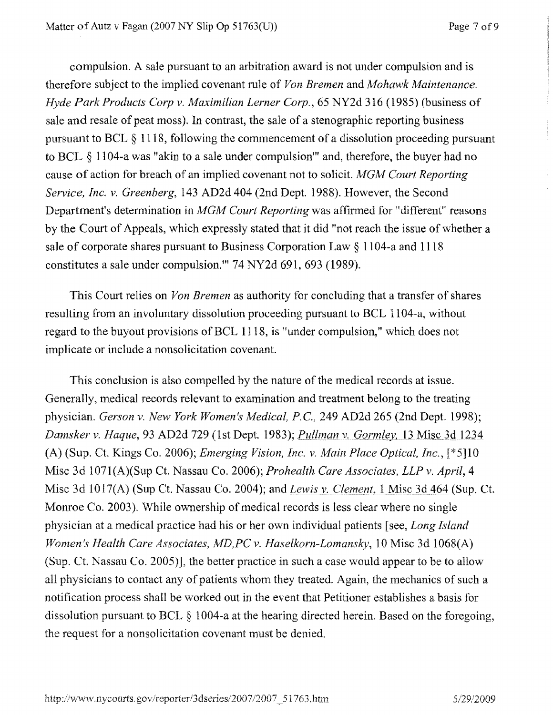compulsion. A sale pursuant to an arbitration award is not under compulsion and is therefore subject to the implied covenant rule of *Von Bremen* and *Mohawk Maintenance. Hyde Park Products Corp v. Maximilian Lerner Corp.*, 65 NY2d 316 (1985) (business of sale and resale of peat moss). In contrast, the sale of a stenographic reporting business pursuant to BCL § 1118, following the commencement of a dissolution proceeding pursuant to BCL § 1104-a was "akin to a sale under compulsion"' and, therefore, the buyer had no cause of action for breach of an implied covenant not to solicit. *MGM Court Reporting Service, Inc. v. Greenberg,* 143 AD2d 404 (2nd Dept. 1988). However, the Second Department's determination *in MGM Court Reporting* was affirmed for "different" reasons by the Court of Appeals, which expressly stated that it did "not reach the issue of whether a sale of corporate shares pursuant to Business Corporation Law § 1104-a and 1118 constitutes a sale under compulsion."' 74 NY2d 691, 693 (1989).

This Court relies on *Von Bremen* as authority for concluding that a transfer of shares resulting from an involuntary dissolution proceeding pursuant to BCL 1104-a, without regard to the buyout provisions of BCL 1118, is "under compulsion," which does not implicate or include a nonsolicitation covenant.

This conclusion is also compelled by the nature of the medical records at issue. Generally, medical records relevant to examination and treatment belong to the treating physician. *Gerson v. New York Women's Medical, P. C.,* 249 AD2d 265 (2nd Dept. 1998); *Damsker v. Haque,* 93 AD2d 729 (1st Dept. 1983); *Pullman v. Gorrnley,* 13\_Mtsc 3d 1234 (A) (Sup. Ct. Kings Co. 2006); *Emerging Vision, Inc. v. Main Place Optical, Inc.*, [\*5]10 Misc 3d 1071(A)(Sup Ct. Nassau Co. 2006); *Prohealth Care Associates, LLP v. April, 4* Misc 3d 1017(A) (Sup Ct. Nassau Co. 2004); *and Lewis v. Clement,* I Misc. 3d 464 (Sup. Ct. ?Monroe Co. 2003). 'While ownership of medical records is less clear where no single physician at a medical practice had his or her own individual patients [see, *Long Island Women's Health Care Associates, MD,PC v. Haselkorn-Lomansky,* 10 Misc 3d 1068(A) (Sup. Ct. Nassau Co. 2005)], the better practice in such a case would appear to be to allow all physicians to contact any of patients whom they treated. Again, the mechanics of such a notification process shall be worked out in the event that Petitioner establishes a basis for dissolution pursuant to BCL § 1004-a at the hearing directed herein. Based on the foregoing, the request for a nonsolicitation covenant must be denied.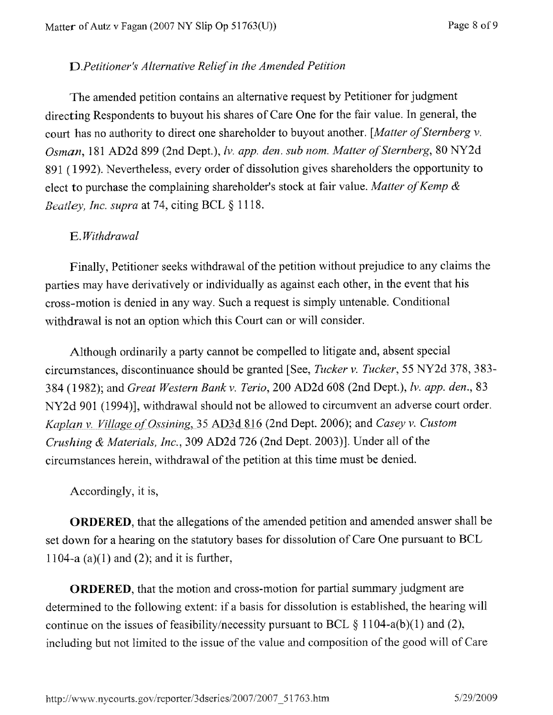### *D.Petitioner `s Alternative Relief in the Amended Petition*

**The amended petition contains an alternative request by Petitioner for judgment directing Respondents to buyout his shares of Care One for the fair value** . **In general, the court has no authority to direct one shareholder to buyout another**. *[Matter of Sternberg v. Osman,* **181 AD2d 899** (**2nd Dept.**), **Iv.** *app. den. sub note. Matter of Sternberg,* 80 NY2d **891 (1992** ). **Nevertheless**, every **order of dissolution gives shareholders the opportunity to elect to purchase the complaining shareholder**'**s stock at fair value** . *Matter of Kemp & Beatley, Inc. supra* at 74, citing BCL § 1118.

# E. Withdrawal

Finally, Petitioner seeks withdrawal of the petition without prejudice to any claims the **parties may have derivatively or individually as against each other, in the event that his cross-motion is denied in any way. Such a request is simply untenable. Conditional withdrawal is not an option which this Court can or will consider.**

**Although ordinarily a party cannot be compelled to litigate and, absent special circumstances**, **discontinuance should be granted** [**See,** *Tricker v. Tucker,* **55 NY2d 378, 383-** 384 (1982); and *Great Western Bank v. Terio,* 200 AD2d 508 (2nd Dept.), *Iv. app. den.,* 83 **NY2d 901 (1994**)], **withdrawal should not be allowed to circumvent an adverse court order.** Kaplan v. Village of Ossining, 35 AD3d 816 (2nd Dept. 2006); and *Casey v. Custom Crushing* & *Materials, inc.,* 309 AD2d 726 (2nd Dept. 2003)]. Under all of the circumstances herein, withdrawal of the petition at this time must be denied.

Accordingly, it is,

**ORDERED**, **that the allegations of the amended petition and amended answer shall be** set down for a hearing on the statutory bases for dissolution of Care One pursuant to BCL 1104-a  $(a)(1)$  and  $(2)$ ; and it is further,

**ORDERED**, that the motion and cross-motion for partial summary judgment are determined to the following extent. if a basis for dissolution is established, the hearing will continue on the issues of feasibility/necessity pursuant to BCL  $\S 1104-a(b)(1)$  and (2), including but not limited to the issue of the value and composition of the good will of Care